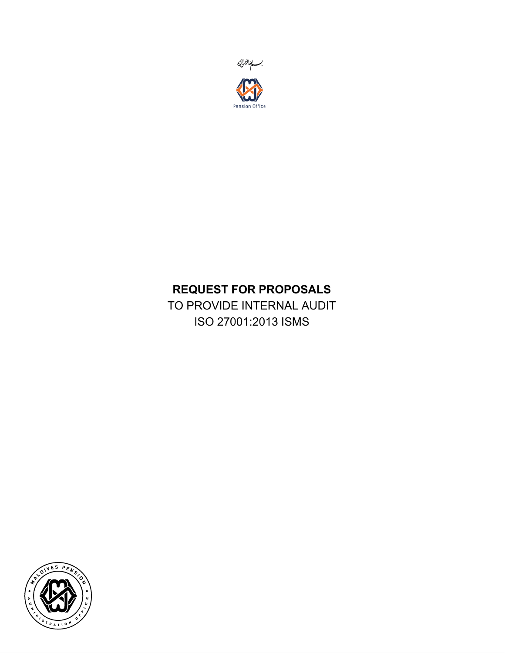

# REQUEST FOR PROPOSALS

TO PROVIDE INTERNAL AUDIT ISO 27001:2013 ISMS

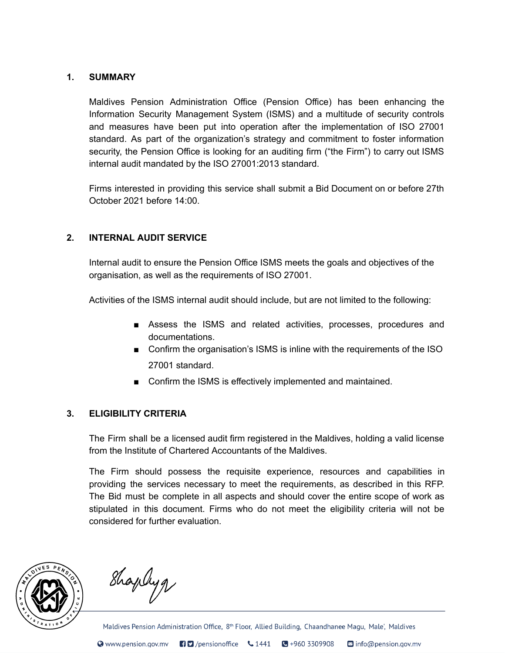#### 1. SUMMARY

Maldives Pension Administration Office (Pension Office) has been enhancing the Information Security Management System (ISMS) and a multitude of security controls and measures have been put into operation after the implementation of ISO 27001 standard. As part of the organization's strategy and commitment to foster information security, the Pension Office is looking for an auditing firm ("the Firm") to carry out ISMS internal audit mandated by the ISO 27001:2013 standard.

Firms interested in providing this service shall submit a Bid Document on or before 27th October 2021 before 14:00.

## 2. INTERNAL AUDIT SERVICE

Internal audit to ensure the Pension Office ISMS meets the goals and objectives of the organisation, as well as the requirements of ISO 27001.

Activities of the ISMS internal audit should include, but are not limited to the following:

- Assess the ISMS and related activities, processes, procedures and documentations.
- Confirm the organisation's ISMS is inline with the requirements of the ISO 27001 standard.
- Confirm the ISMS is effectively implemented and maintained.

#### 3. ELIGIBILITY CRITERIA

The Firm shall be a licensed audit firm registered in the Maldives, holding a valid license from the Institute of Chartered Accountants of the Maldives.

The Firm should possess the requisite experience, resources and capabilities in providing the services necessary to meet the requirements, as described in this RFP. The Bid must be complete in all aspects and should cover the entire scope of work as stipulated in this document. Firms who do not meet the eligibility criteria will not be considered for further evaluation.



Shapleyg

Maldives Pension Administration Office, 8<sup>th</sup> Floor, Allied Building, Chaandhanee Magu, Male', Maldives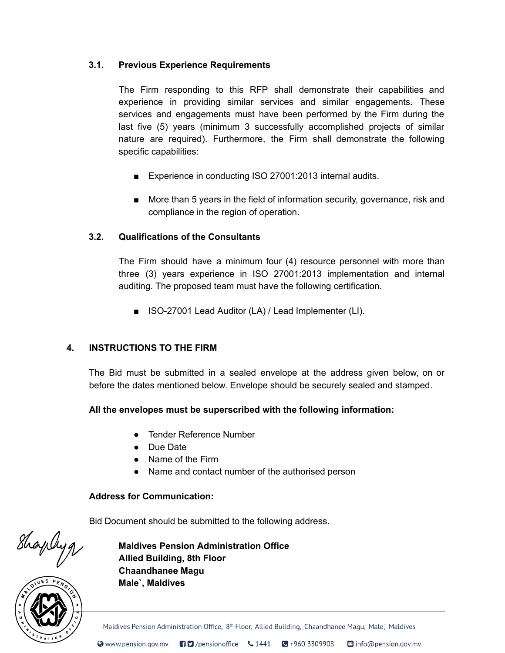# 3.1. Previous Experience Requirements

The Firm responding to this RFP shall demonstrate their capabilities and experience in providing similar services and similar engagements. These services and engagements must have been performed by the Firm during the last five (5) years (minimum 3 successfully accomplished projects of similar nature are required). Furthermore, the Firm shall demonstrate the following specific capabilities:

- Experience in conducting ISO 27001:2013 internal audits.
- More than 5 years in the field of information security, governance, risk and compliance in the region of operation.

## 3.2. Qualifications of the Consultants

The Firm should have a minimum four (4) resource personnel with more than three (3) years experience in ISO 27001:2013 implementation and internal auditing. The proposed team must have the following certification.

■ ISO-27001 Lead Auditor (LA) / Lead Implementer (LI).

#### 4. INSTRUCTIONS TO THE FIRM

The Bid must be submitted in a sealed envelope at the address given below, on or before the dates mentioned below. Envelope should be securely sealed and stamped.

#### All the envelopes must be superscribed with the following information:

- Tender Reference Number
- Due Date
- Name of the Firm
- Name and contact number of the authorised person

#### Address for Communication:

Bid Document should be submitted to the following address.

Shapleyg

 $\overline{ }$ 

Maldives Pension Administration Office Allied Building, 8th Floor Chaandhanee Magu Male`, Maldives

Maldives Pension Administration Office, 8<sup>th</sup> Floor, Allied Building, Chaandhanee Magu, Male', Maldives